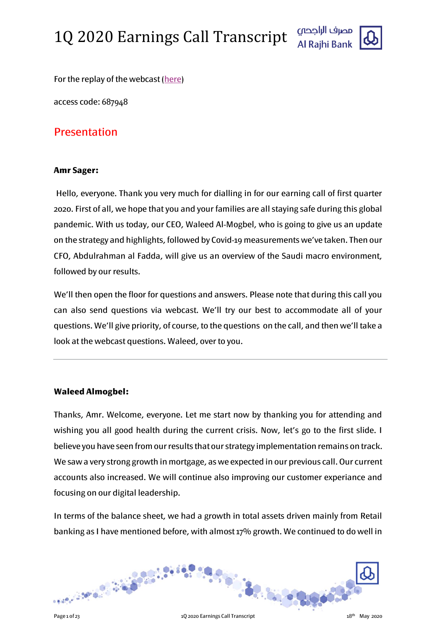

For the replay of the webcast [\(here\)](http://www.incommuk.com/customers/alrajhiq1)

access code: 687948

#### Presentation

#### **Amr Sager:**

Hello, everyone. Thank you very much for dialling in for our earning call of first quarter 2020. First of all, we hope that you and your families are all staying safe during this global pandemic. With us today, our CEO, Waleed Al-Mogbel, who is going to give us an update on the strategy and highlights, followed by Covid-19 measurements we've taken. Then our CFO, Abdulrahman al Fadda, will give us an overview of the Saudi macro environment, followed by our results.

We'll then open the floor for questions and answers. Please note that during this call you can also send questions via webcast. We'll try our best to accommodate all of your questions. We'll give priority, of course, to the questions on the call, and then we'll take a look at the webcast questions. Waleed, over to you.

#### **Waleed Almogbel:**

Thanks, Amr. Welcome, everyone. Let me start now by thanking you for attending and wishing you all good health during the current crisis. Now, let's go to the first slide. I believe you have seen from our results that our strategy implementation remains on track. We saw a very strong growth in mortgage, as we expected in our previous call. Our current accounts also increased. We will continue also improving our customer experiance and focusing on our digital leadership.

In terms of the balance sheet, we had a growth in total assets driven mainly from Retail banking as I have mentioned before, with almost 17% growth. We continued to do well in

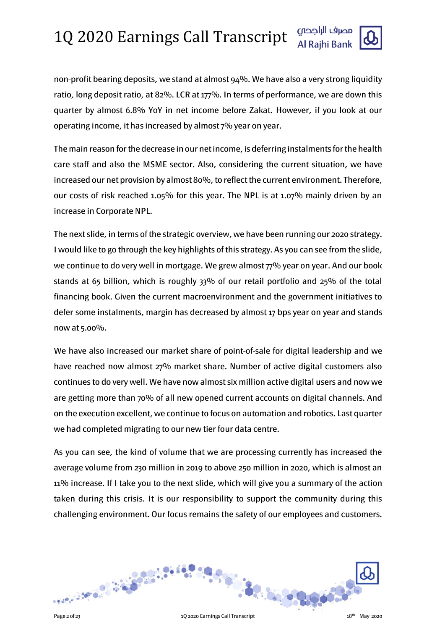

non-profit bearing deposits, we stand at almost 94%. We have also a very strong liquidity ratio, long deposit ratio, at 82%. LCR at 177%. In terms of performance, we are down this quarter by almost 6.8% YoY in net income before Zakat. However, if you look at our operating income, it has increased by almost 7% year on year.

The main reason for the decrease in our net income, is deferring instalments for the health care staff and also the MSME sector. Also, considering the current situation, we have increased our net provision by almost 80%, to reflect the current environment. Therefore, our costs of risk reached 1.05% for this year. The NPL is at 1.07% mainly driven by an increase in Corporate NPL.

The next slide, in terms of the strategic overview, we have been running our 2020 strategy. I would like to go through the key highlights of this strategy. As you can see from the slide, we continue to do very well in mortgage. We grew almost 77% year on year. And our book stands at 65 billion, which is roughly 33% of our retail portfolio and 25% of the total financing book. Given the current macroenvironment and the government initiatives to defer some instalments, margin has decreased by almost 17 bps year on year and stands now at 5.00%.

We have also increased our market share of point-of-sale for digital leadership and we have reached now almost 27% market share. Number of active digital customers also continues to do very well. We have now almost six million active digital users and now we are getting more than 70% of all new opened current accounts on digital channels. And on the execution excellent, we continue to focus on automation and robotics. Last quarter we had completed migrating to our new tier four data centre.

As you can see, the kind of volume that we are processing currently has increased the average volume from 230 million in 2019 to above 250 million in 2020, which is almost an 11% increase. If I take you to the next slide, which will give you a summary of the action taken during this crisis. It is our responsibility to support the community during this challenging environment. Our focus remains the safety of our employees and customers.

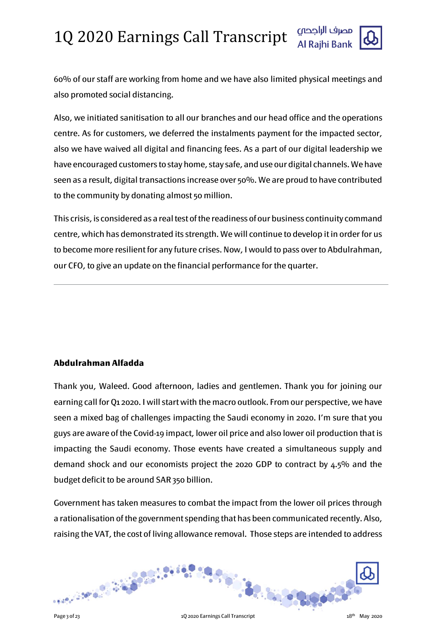

60% of our staff are working from home and we have also limited physical meetings and also promoted social distancing.

Also, we initiated sanitisation to all our branches and our head office and the operations centre. As for customers, we deferred the instalments payment for the impacted sector, also we have waived all digital and financing fees. As a part of our digital leadership we have encouraged customers to stay home, stay safe, and use our digital channels. We have seen as a result, digital transactions increase over 50%. We are proud to have contributed to the community by donating almost 50 million.

This crisis, is considered as a real test of the readiness of our business continuity command centre, which has demonstrated its strength. We will continue to develop it in order for us to become more resilient for any future crises. Now, I would to pass over to Abdulrahman, our CFO, to give an update on the financial performance for the quarter.

#### **Abdulrahman Alfadda**

Thank you, Waleed. Good afternoon, ladies and gentlemen. Thank you for joining our earning call for Q1 2020. I will start with the macro outlook. From our perspective, we have seen a mixed bag of challenges impacting the Saudi economy in 2020. I'm sure that you guys are aware of the Covid-19 impact, lower oil price and also lower oil production that is impacting the Saudi economy. Those events have created a simultaneous supply and demand shock and our economists project the 2020 GDP to contract by 4.5% and the budget deficit to be around SAR 350 billion.

Government has taken measures to combat the impact from the lower oil prices through a rationalisation of the government spending that has been communicated recently. Also, raising the VAT, the cost of living allowance removal. Those steps are intended to address

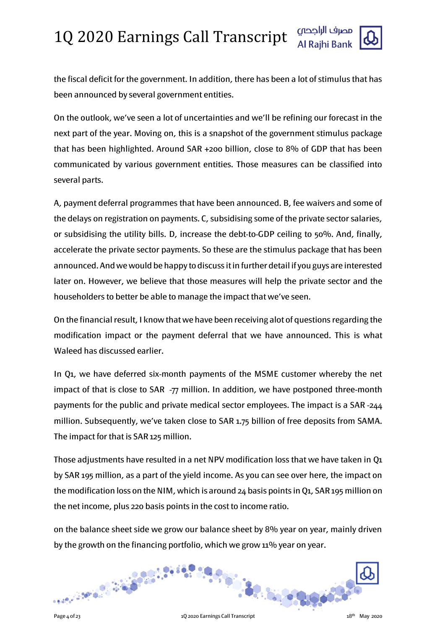

the fiscal deficit for the government. In addition, there has been a lot of stimulus that has been announced by several government entities.

On the outlook, we've seen a lot of uncertainties and we'll be refining our forecast in the next part of the year. Moving on, this is a snapshot of the government stimulus package that has been highlighted. Around SAR +200 billion, close to 8% of GDP that has been communicated by various government entities. Those measures can be classified into several parts.

A, payment deferral programmes that have been announced. B, fee waivers and some of the delays on registration on payments. C, subsidising some of the private sector salaries, or subsidising the utility bills. D, increase the debt-to-GDP ceiling to 50%. And, finally, accelerate the private sector payments. So these are the stimulus package that has been announced. And we would be happy to discuss it in further detail if you guys are interested later on. However, we believe that those measures will help the private sector and the householders to better be able to manage the impact that we've seen.

On the financial result, I know that we have been receiving alot of questions regarding the modification impact or the payment deferral that we have announced. This is what Waleed has discussed earlier.

In Q1, we have deferred six-month payments of the MSME customer whereby the net impact of that is close to SAR  $-77$  million. In addition, we have postponed three-month payments for the public and private medical sector employees. The impact is a SAR -244 million. Subsequently, we've taken close to SAR 1.75 billion of free deposits from SAMA. The impact for that is SAR 125 million.

Those adjustments have resulted in a net NPV modification loss that we have taken in Q1 by SAR 195 million, as a part of the yield income. As you can see over here, the impact on the modification loss on the NIM, which is around 24 basis points in Q1, SAR 195 million on the net income, plus 220 basis points in the cost to income ratio.

on the balance sheet side we grow our balance sheet by 8% year on year, mainly driven by the growth on the financing portfolio, which we grow 11% year on year.

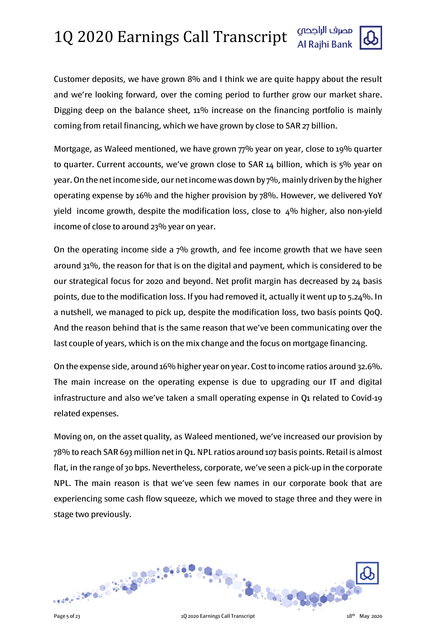

Customer deposits, we have grown 8% and I think we are quite happy about the result and we're looking forward, over the coming period to further grow our market share. Digging deep on the balance sheet, 11% increase on the financing portfolio is mainly coming from retail financing, which we have grown by close to SAR 27 billion.

Mortgage, as Waleed mentioned, we have grown 77% year on year, close to 19% quarter to quarter. Current accounts, we've grown close to SAR 14 billion, which is 5% year on year. On the net income side, our net income was down by 7%, mainly driven by the higher operating expense by 16% and the higher provision by 78%. However, we delivered YoY yield income growth, despite the modification loss, close to  $4\%$  higher, also non-yield income of close to around 23% year on year.

On the operating income side a 7% growth, and fee income growth that we have seen around 31%, the reason for that is on the digital and payment, which is considered to be our strategical focus for 2020 and beyond. Net profit margin has decreased by 24 basis points, due to the modification loss. If you had removed it, actually it went up to 5.24%. In a nutshell, we managed to pick up, despite the modification loss, two basis points QoQ. And the reason behind that is the same reason that we've been communicating over the last couple of years, which is on the mix change and the focus on mortgage financing.

On the expense side, around 16% higher year on year. Cost to income ratios around 32.6%. The main increase on the operating expense is due to upgrading our IT and digital infrastructure and also we've taken a small operating expense in Q1 related to Covid-19 related expenses.

Moving on, on the asset quality, as Waleed mentioned, we've increased our provision by 78% to reach SAR 693 million net in Q1. NPL ratios around 107 basis points. Retail is almost flat, in the range of 30 bps. Nevertheless, corporate, we've seen a pick-up in the corporate NPL. The main reason is that we've seen few names in our corporate book that are experiencing some cash flow squeeze, which we moved to stage three and they were in stage two previously.

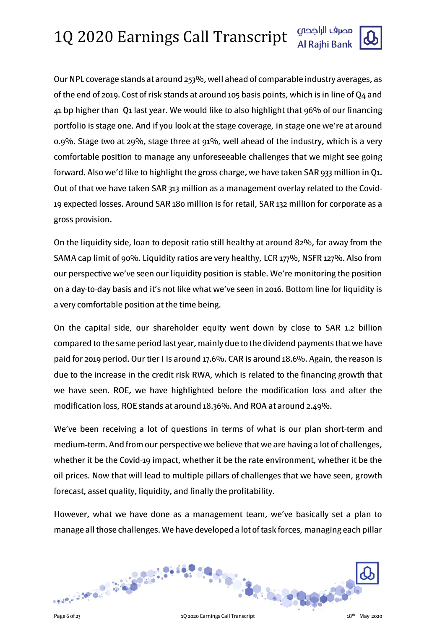Our NPL coverage stands at around 253%, well ahead of comparable industry averages, as of the end of 2019. Cost of risk stands at around 105 basis points, which is in line of Q4 and 41 bp higher than Q1 last year. We would like to also highlight that 96% of our financing portfolio is stage one. And if you look at the stage coverage, in stage one we're at around 0.9%. Stage two at 29%, stage three at 91%, well ahead of the industry, which is a very comfortable position to manage any unforeseeable challenges that we might see going forward. Also we'd like to highlight the gross charge, we have taken SAR 933 million in Q1. Out of that we have taken SAR 313 million as a management overlay related to the Covid-19 expected losses. Around SAR 180 million is for retail, SAR 132 million for corporate as a gross provision.

On the liquidity side, loan to deposit ratio still healthy at around 82%, far away from the SAMA cap limit of 90%. Liquidity ratios are very healthy, LCR 177%, NSFR 127%. Also from our perspective we've seen our liquidity position is stable. We're monitoring the position on a day-to-day basis and it's not like what we've seen in 2016. Bottom line for liquidity is a very comfortable position at the time being.

On the capital side, our shareholder equity went down by close to SAR 1.2 billion compared to the same period last year, mainly due to the dividend payments that we have paid for 2019 period. Our tier I is around 17.6%. CAR is around 18.6%. Again, the reason is due to the increase in the credit risk RWA, which is related to the financing growth that we have seen. ROE, we have highlighted before the modification loss and after the modification loss, ROE stands at around 18.36%. And ROA at around 2.49%.

We've been receiving a lot of questions in terms of what is our plan short-term and medium-term. And from our perspective we believe that we are having a lot of challenges, whether it be the Covid-19 impact, whether it be the rate environment, whether it be the oil prices. Now that will lead to multiple pillars of challenges that we have seen, growth forecast, asset quality, liquidity, and finally the profitability.

However, what we have done as a management team, we've basically set a plan to manage all those challenges. We have developed a lot of task forces, managing each pillar

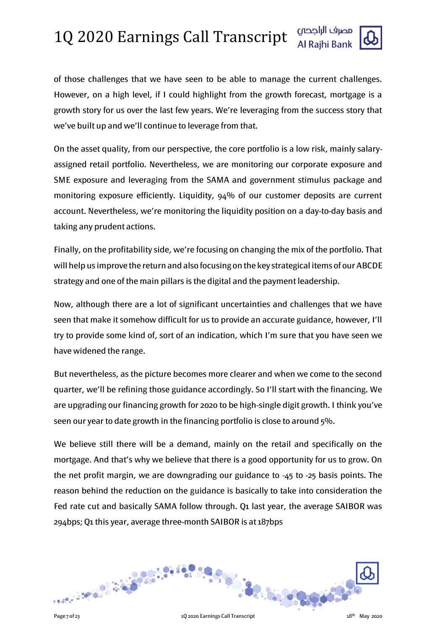

of those challenges that we have seen to be able to manage the current challenges. However, on a high level, if I could highlight from the growth forecast, mortgage is a growth story for us over the last few years. We're leveraging from the success story that we've built up and we'll continue to leverage from that.

On the asset quality, from our perspective, the core portfolio is a low risk, mainly salaryassigned retail portfolio. Nevertheless, we are monitoring our corporate exposure and SME exposure and leveraging from the SAMA and government stimulus package and monitoring exposure efficiently. Liquidity, 94% of our customer deposits are current account. Nevertheless, we're monitoring the liquidity position on a day-to-day basis and taking any prudent actions.

Finally, on the profitability side, we're focusing on changing the mix of the portfolio. That will help us improve the return and also focusing on the key strategical items of our ABCDE strategy and one of the main pillars is the digital and the payment leadership.

Now, although there are a lot of significant uncertainties and challenges that we have seen that make it somehow difficult for us to provide an accurate guidance, however, I'll try to provide some kind of, sort of an indication, which I'm sure that you have seen we have widened the range.

But nevertheless, as the picture becomes more clearer and when we come to the second quarter, we'll be refining those guidance accordingly. So I'll start with the financing. We are upgrading our financing growth for 2020 to be high-single digit growth. I think you've seen our year to date growth in the financing portfolio is close to around 5%.

We believe still there will be a demand, mainly on the retail and specifically on the mortgage. And that's why we believe that there is a good opportunity for us to grow. On the net profit margin, we are downgrading our guidance to -45 to -25 basis points. The reason behind the reduction on the guidance is basically to take into consideration the Fed rate cut and basically SAMA follow through. Q1 last year, the average SAIBOR was 294bps; Q1 this year, average three-month SAIBOR is at 187bps

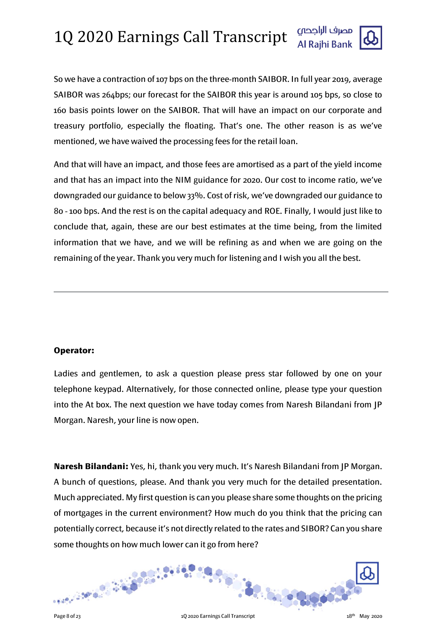

So we have a contraction of 107 bps on the three-month SAIBOR. In full year 2019, average SAIBOR was 264bps; our forecast for the SAIBOR this year is around 105 bps, so close to 160 basis points lower on the SAIBOR. That will have an impact on our corporate and treasury portfolio, especially the floating. That's one. The other reason is as we've mentioned, we have waived the processing fees for the retail loan.

And that will have an impact, and those fees are amortised as a part of the yield income and that has an impact into the NIM guidance for 2020. Our cost to income ratio, we've downgraded our guidance to below 33%. Cost of risk, we've downgraded our guidance to 80 - 100 bps. And the rest is on the capital adequacy and ROE. Finally, I would just like to conclude that, again, these are our best estimates at the time being, from the limited information that we have, and we will be refining as and when we are going on the remaining of the year. Thank you very much for listening and I wish you all the best.

#### **Operator:**

Ladies and gentlemen, to ask a question please press star followed by one on your telephone keypad. Alternatively, for those connected online, please type your question into the At box. The next question we have today comes from Naresh Bilandani from JP Morgan. Naresh, your line is now open.

**Naresh Bilandani:** Yes, hi, thank you very much. It's Naresh Bilandani from JP Morgan. A bunch of questions, please. And thank you very much for the detailed presentation. Much appreciated. My first question is can you please share some thoughts on the pricing of mortgages in the current environment? How much do you think that the pricing can potentially correct, because it's not directly related to the rates and SIBOR? Can you share some thoughts on how much lower can it go from here?

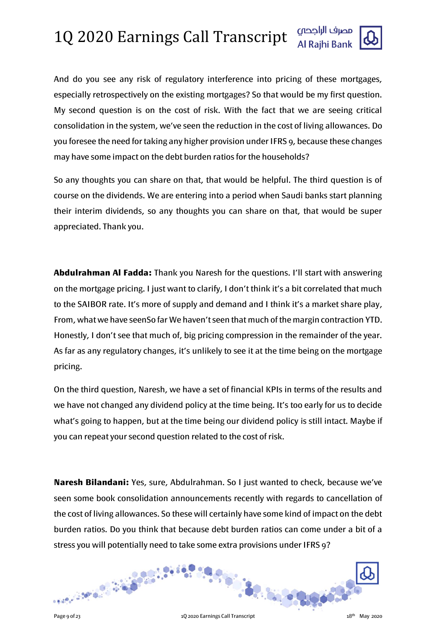And do you see any risk of regulatory interference into pricing of these mortgages, especially retrospectively on the existing mortgages? So that would be my first question. My second question is on the cost of risk. With the fact that we are seeing critical consolidation in the system, we've seen the reduction in the cost of living allowances. Do you foresee the need for taking any higher provision under IFRS 9, because these changes may have some impact on the debt burden ratios for the households?

So any thoughts you can share on that, that would be helpful. The third question is of course on the dividends. We are entering into a period when Saudi banks start planning their interim dividends, so any thoughts you can share on that, that would be super appreciated. Thank you.

**Abdulrahman Al Fadda:** Thank you Naresh for the questions. I'll start with answering on the mortgage pricing. I just want to clarify, I don't think it's a bit correlated that much to the SAIBOR rate. It's more of supply and demand and I think it's a market share play, From, what we have seenSo far We haven't seen that much of the margin contraction YTD. Honestly, I don't see that much of, big pricing compression in the remainder of the year. As far as any regulatory changes, it's unlikely to see it at the time being on the mortgage pricing.

On the third question, Naresh, we have a set of financial KPIs in terms of the results and we have not changed any dividend policy at the time being. It's too early for us to decide what's going to happen, but at the time being our dividend policy is still intact. Maybe if you can repeat your second question related to the cost of risk.

**Naresh Bilandani:** Yes, sure, Abdulrahman. So I just wanted to check, because we've seen some book consolidation announcements recently with regards to cancellation of the cost of living allowances. So these will certainly have some kind of impact on the debt burden ratios. Do you think that because debt burden ratios can come under a bit of a stress you will potentially need to take some extra provisions under IFRS 9?

**Carlo Carlo Carlos** 

32.50 - 8.9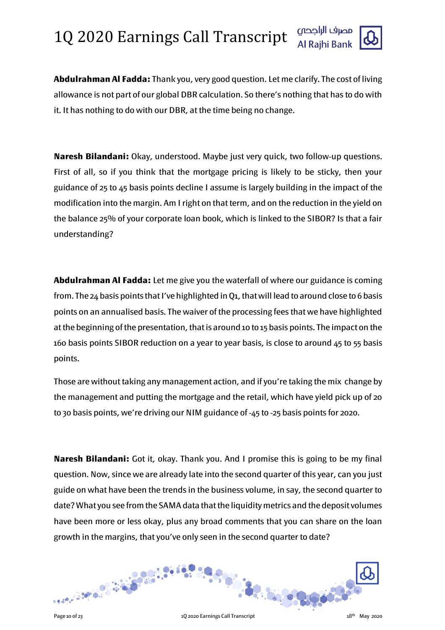

**Abdulrahman Al Fadda:** Thank you, very good question. Let me clarify. The cost of living allowance is not part of our global DBR calculation. So there's nothing that has to do with it. It has nothing to do with our DBR, at the time being no change.

**Naresh Bilandani:** Okay, understood. Maybe just very quick, two follow-up questions. First of all, so if you think that the mortgage pricing is likely to be sticky, then your guidance of 25 to 45 basis points decline I assume is largely building in the impact of the modification into the margin. Am I right on that term, and on the reduction in the yield on the balance 25% of your corporate loan book, which is linked to the SIBOR? Is that a fair understanding?

**Abdulrahman Al Fadda:** Let me give you the waterfall of where our guidance is coming from. The 24 basis points that I've highlighted in Q1, that will lead to around close to 6 basis points on an annualised basis. The waiver of the processing fees that we have highlighted at the beginning of the presentation, that is around 10 to 15 basis points. The impact on the 160 basis points SIBOR reduction on a year to year basis, is close to around 45 to 55 basis points.

Those are without taking any management action, and if you're taking the mix change by the management and putting the mortgage and the retail, which have yield pick up of 20 to 30 basis points, we're driving our NIM guidance of -45 to -25 basis points for 2020.

**Naresh Bilandani:** Got it, okay. Thank you. And I promise this is going to be my final question. Now, since we are already late into the second quarter of this year, can you just guide on what have been the trends in the business volume, in say, the second quarter to date? What you see from the SAMA data that the liquidity metrics and the deposit volumes have been more or less okay, plus any broad comments that you can share on the loan growth in the margins, that you've only seen in the second quarter to date?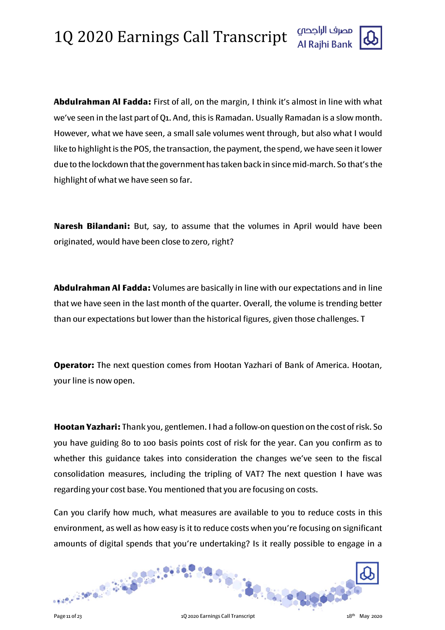

**Abdulrahman Al Fadda:** First of all, on the margin, I think it's almost in line with what we've seen in the last part of Q1. And, this is Ramadan. Usually Ramadan is a slow month. However, what we have seen, a small sale volumes went through, but also what I would like to highlight is the POS, the transaction, the payment, the spend, we have seen it lower due to the lockdown that the government has taken back in since mid-march. So that's the highlight of what we have seen so far.

**Naresh Bilandani:** But, say, to assume that the volumes in April would have been originated, would have been close to zero, right?

**Abdulrahman Al Fadda:** Volumes are basically in line with our expectations and in line that we have seen in the last month of the quarter. Overall, the volume is trending better than our expectations but lower than the historical figures, given those challenges. T

**Operator:** The next question comes from Hootan Yazhari of Bank of America. Hootan, your line is now open.

**Hootan Yazhari:** Thank you, gentlemen. I had a follow-on question on the cost of risk. So you have guiding 80 to 100 basis points cost of risk for the year. Can you confirm as to whether this guidance takes into consideration the changes we've seen to the fiscal consolidation measures, including the tripling of VAT? The next question I have was regarding your cost base. You mentioned that you are focusing on costs.

Can you clarify how much, what measures are available to you to reduce costs in this environment, as well as how easy is it to reduce costs when you're focusing on significant amounts of digital spends that you're undertaking? Is it really possible to engage in a

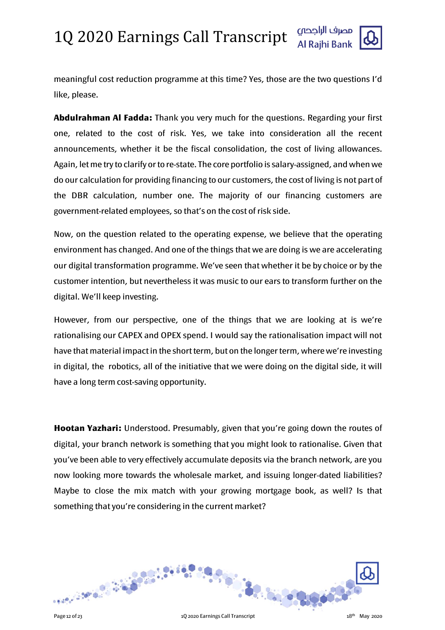

meaningful cost reduction programme at this time? Yes, those are the two questions I'd like, please.

**Abdulrahman Al Fadda:** Thank you very much for the questions. Regarding your first one, related to the cost of risk. Yes, we take into consideration all the recent announcements, whether it be the fiscal consolidation, the cost of living allowances. Again, let me try to clarify or to re-state. The core portfolio is salary-assigned, and when we do our calculation for providing financing to our customers, the cost of living is not part of the DBR calculation, number one. The majority of our financing customers are government-related employees, so that's on the cost of risk side.

Now, on the question related to the operating expense, we believe that the operating environment has changed. And one of the things that we are doing is we are accelerating our digital transformation programme. We've seen that whether it be by choice or by the customer intention, but nevertheless it was music to our ears to transform further on the digital. We'll keep investing.

However, from our perspective, one of the things that we are looking at is we're rationalising our CAPEX and OPEX spend. I would say the rationalisation impact will not have that material impact in the short term, but on the longer term, where we're investing in digital, the robotics, all of the initiative that we were doing on the digital side, it will have a long term cost-saving opportunity.

**Hootan Yazhari:** Understood. Presumably, given that you're going down the routes of digital, your branch network is something that you might look to rationalise. Given that you've been able to very effectively accumulate deposits via the branch network, are you now looking more towards the wholesale market, and issuing longer-dated liabilities? Maybe to close the mix match with your growing mortgage book, as well? Is that something that you're considering in the current market?

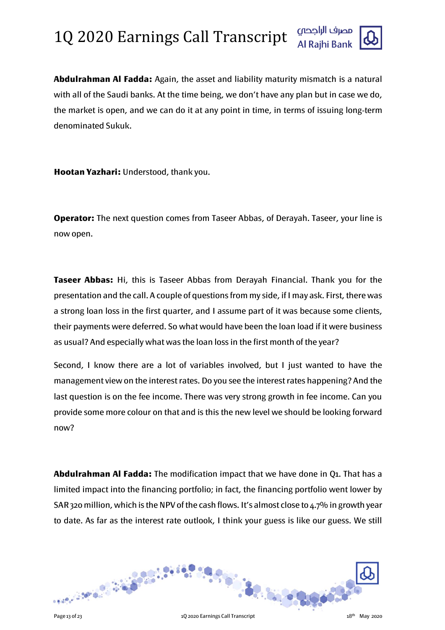

**Abdulrahman Al Fadda:** Again, the asset and liability maturity mismatch is a natural with all of the Saudi banks. At the time being, we don't have any plan but in case we do, the market is open, and we can do it at any point in time, in terms of issuing long-term denominated Sukuk.

**Hootan Yazhari:** Understood, thank you.

**Operator:** The next question comes from Taseer Abbas, of Derayah. Taseer, your line is now open.

**Taseer Abbas:** Hi, this is Taseer Abbas from Derayah Financial. Thank you for the presentation and the call. A couple of questions from my side, if I may ask. First, there was a strong loan loss in the first quarter, and I assume part of it was because some clients, their payments were deferred. So what would have been the loan load if it were business as usual? And especially what was the loan loss in the first month of the year?

Second, I know there are a lot of variables involved, but I just wanted to have the management view on the interest rates. Do you see the interest rates happening? And the last question is on the fee income. There was very strong growth in fee income. Can you provide some more colour on that and is this the new level we should be looking forward now?

**Abdulrahman Al Fadda:** The modification impact that we have done in Q1. That has a limited impact into the financing portfolio; in fact, the financing portfolio went lower by SAR 320 million, which is the NPV of the cash flows. It's almost close to 4.7% in growth year to date. As far as the interest rate outlook, I think your guess is like our guess. We still

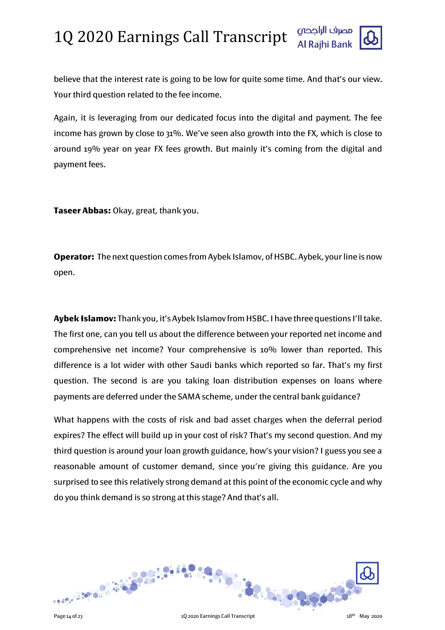believe that the interest rate is going to be low for quite some time. And that's our view. Your third question related to the fee income.

Again, it is leveraging from our dedicated focus into the digital and payment. The fee income has grown by close to 31%. We've seen also growth into the FX, which is close to around 19% year on year FX fees growth. But mainly it's coming from the digital and payment fees.

**Taseer Abbas:** Okay, great, thank you.

**Operator:** The next question comes from Aybek Islamov, of HSBC. Aybek, your line is now open.

**Aybek Islamov:** Thank you, it's Aybek Islamov from HSBC. I have three questions I'll take. The first one, can you tell us about the difference between your reported net income and comprehensive net income? Your comprehensive is 10% lower than reported. This difference is a lot wider with other Saudi banks which reported so far. That's my first question. The second is are you taking loan distribution expenses on loans where payments are deferred under the SAMA scheme, under the central bank guidance?

What happens with the costs of risk and bad asset charges when the deferral period expires? The effect will build up in your cost of risk? That's my second question. And my third question is around your loan growth guidance, how's your vision? I guess you see a reasonable amount of customer demand, since you're giving this guidance. Are you surprised to see this relatively strong demand at this point of the economic cycle and why do you think demand is so strong at this stage? And that's all.

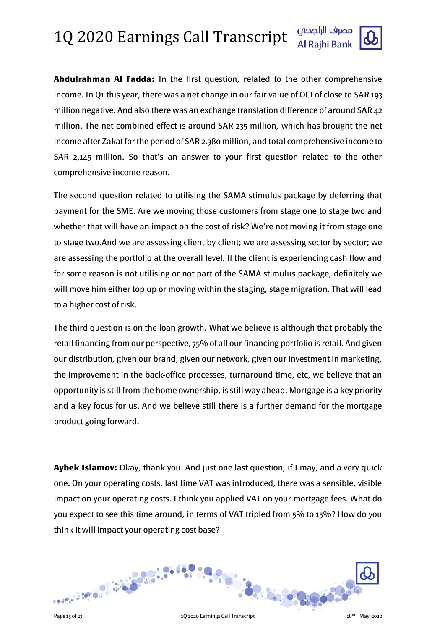

The second question related to utilising the SAMA stimulus package by deferring that payment for the SME. Are we moving those customers from stage one to stage two and whether that will have an impact on the cost of risk? We're not moving it from stage one to stage two.And we are assessing client by client; we are assessing sector by sector; we are assessing the portfolio at the overall level. If the client is experiencing cash flow and for some reason is not utilising or not part of the SAMA stimulus package, definitely we will move him either top up or moving within the staging, stage migration. That will lead to a higher cost of risk.

The third question is on the loan growth. What we believe is although that probably the retail financing from our perspective, 75% of all our financing portfolio is retail. And given our distribution, given our brand, given our network, given our investment in marketing, the improvement in the back-office processes, turnaround time, etc, we believe that an opportunity is still from the home ownership, is still way ahead. Mortgage is a key priority and a key focus for us. And we believe still there is a further demand for the mortgage product going forward.

**Aybek Islamov:** Okay, thank you. And just one last question, if I may, and a very quick one. On your operating costs, last time VAT was introduced, there was a sensible, visible impact on your operating costs. I think you applied VAT on your mortgage fees. What do you expect to see this time around, in terms of VAT tripled from 5% to 15%? How do you think it will impact your operating cost base?

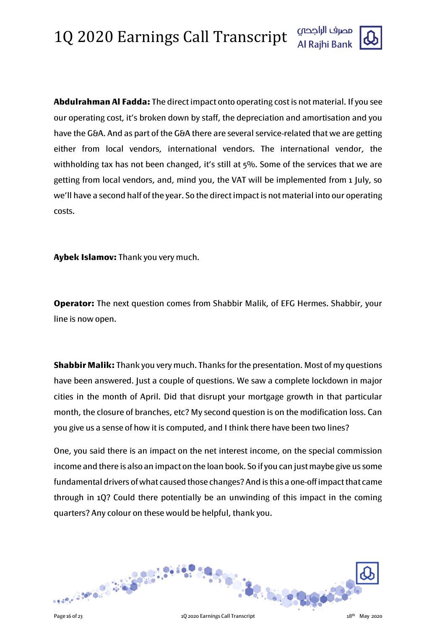**Abdulrahman Al Fadda:** The direct impact onto operating cost is not material. If you see our operating cost, it's broken down by staff, the depreciation and amortisation and you have the G&A. And as part of the G&A there are several service-related that we are getting either from local vendors, international vendors. The international vendor, the withholding tax has not been changed, it's still at  $5\%$ . Some of the services that we are getting from local vendors, and, mind you, the VAT will be implemented from 1 July, so we'll have a second half of the year. So the direct impact is not material into our operating costs.

**Aybek Islamov:** Thank you very much.

**Operator:** The next question comes from Shabbir Malik, of EFG Hermes. Shabbir, your line is now open.

**Shabbir Malik:** Thank you very much. Thanks for the presentation. Most of my questions have been answered. Just a couple of questions. We saw a complete lockdown in major cities in the month of April. Did that disrupt your mortgage growth in that particular month, the closure of branches, etc? My second question is on the modification loss. Can you give us a sense of how it is computed, and I think there have been two lines?

One, you said there is an impact on the net interest income, on the special commission income and there is also an impact on the loan book. So if you can just maybe give us some fundamental drivers of what caused those changes? And is this a one-off impact that came through in 1Q? Could there potentially be an unwinding of this impact in the coming quarters? Any colour on these would be helpful, thank you.

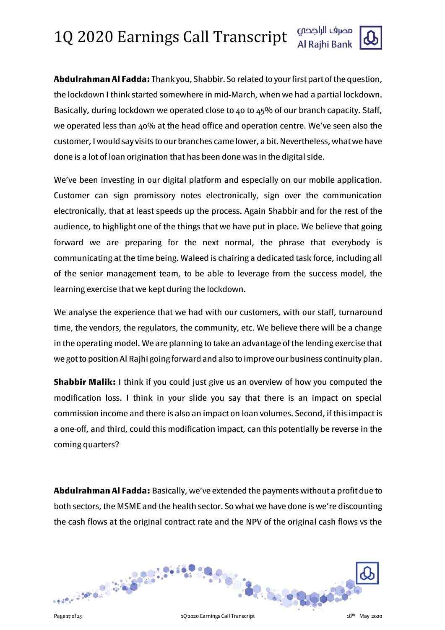**Abdulrahman Al Fadda:** Thank you, Shabbir. So related to your first part of the question, the lockdown I think started somewhere in mid-March, when we had a partial lockdown. Basically, during lockdown we operated close to 40 to 45% of our branch capacity. Staff, we operated less than 40% at the head office and operation centre. We've seen also the customer, I would say visits to our branches came lower, a bit. Nevertheless, what we have done is a lot of loan origination that has been done was in the digital side.

We've been investing in our digital platform and especially on our mobile application. Customer can sign promissory notes electronically, sign over the communication electronically, that at least speeds up the process. Again Shabbir and for the rest of the audience, to highlight one of the things that we have put in place. We believe that going forward we are preparing for the next normal, the phrase that everybody is communicating at the time being. Waleed is chairing a dedicated task force, including all of the senior management team, to be able to leverage from the success model, the learning exercise that we kept during the lockdown.

We analyse the experience that we had with our customers, with our staff, turnaround time, the vendors, the regulators, the community, etc. We believe there will be a change in the operating model. We are planning to take an advantage of the lending exercise that we got to position Al Rajhi going forward and also to improve our business continuity plan.

**Shabbir Malik:** I think if you could just give us an overview of how you computed the modification loss. I think in your slide you say that there is an impact on special commission income and there is also an impact on loan volumes. Second, if this impact is a one-off, and third, could this modification impact, can this potentially be reverse in the coming quarters?

**Abdulrahman Al Fadda:** Basically, we've extended the payments without a profit due to both sectors, the MSME and the health sector. So what we have done is we're discounting the cash flows at the original contract rate and the NPV of the original cash flows vs the

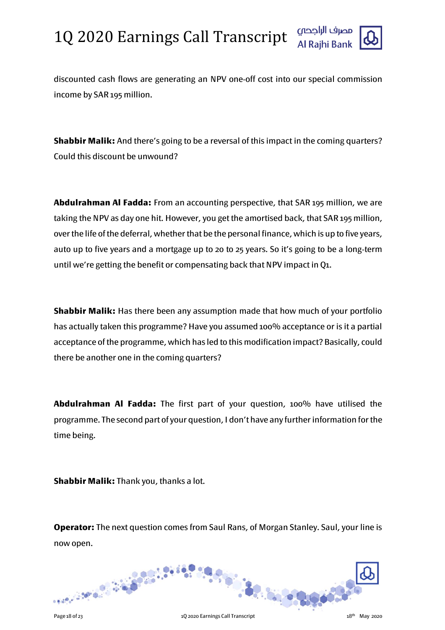

discounted cash flows are generating an NPV one-off cost into our special commission income by SAR 195 million.

**Shabbir Malik:** And there's going to be a reversal of this impact in the coming quarters? Could this discount be unwound?

**Abdulrahman Al Fadda:** From an accounting perspective, that SAR 195 million, we are taking the NPV as day one hit. However, you get the amortised back, that SAR 195 million, over the life of the deferral, whether that be the personal finance, which is up to five years, auto up to five years and a mortgage up to 20 to 25 years. So it's going to be a long-term until we're getting the benefit or compensating back that NPV impact in Q1.

**Shabbir Malik:** Has there been any assumption made that how much of your portfolio has actually taken this programme? Have you assumed 100% acceptance or is it a partial acceptance of the programme, which has led to this modification impact? Basically, could there be another one in the coming quarters?

**Abdulrahman Al Fadda:** The first part of your question, 100% have utilised the programme. The second part of your question, I don't have any further information for the time being.

**Shabbir Malik:** Thank you, thanks a lot.

**Operator:** The next question comes from Saul Rans, of Morgan Stanley. Saul, your line is now open.

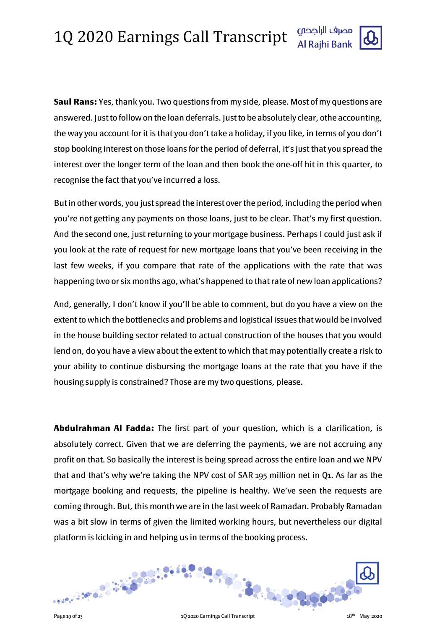**Saul Rans:** Yes, thank you. Two questions from my side, please. Most of my questions are answered. Just to follow on the loan deferrals. Just to be absolutely clear, 0the accounting, the way you account for it is that you don't take a holiday, if you like, in terms of you don't stop booking interest on those loans for the period of deferral, it's just that you spread the interest over the longer term of the loan and then book the one-off hit in this quarter, to recognise the fact that you've incurred a loss.

But in other words, you just spread the interest over the period, including the period when you're not getting any payments on those loans, just to be clear. That's my first question. And the second one, just returning to your mortgage business. Perhaps I could just ask if you look at the rate of request for new mortgage loans that you've been receiving in the last few weeks, if you compare that rate of the applications with the rate that was happening two or six months ago, what's happened to that rate of new loan applications?

And, generally, I don't know if you'll be able to comment, but do you have a view on the extent to which the bottlenecks and problems and logistical issues that would be involved in the house building sector related to actual construction of the houses that you would lend on, do you have a view about the extent to which that may potentially create a risk to your ability to continue disbursing the mortgage loans at the rate that you have if the housing supply is constrained? Those are my two questions, please.

**Abdulrahman Al Fadda:** The first part of your question, which is a clarification, is absolutely correct. Given that we are deferring the payments, we are not accruing any profit on that. So basically the interest is being spread across the entire loan and we NPV that and that's why we're taking the NPV cost of SAR 195 million net in Q1. As far as the mortgage booking and requests, the pipeline is healthy. We've seen the requests are coming through. But, this month we are in the last week of Ramadan. Probably Ramadan was a bit slow in terms of given the limited working hours, but nevertheless our digital platform is kicking in and helping us in terms of the booking process.

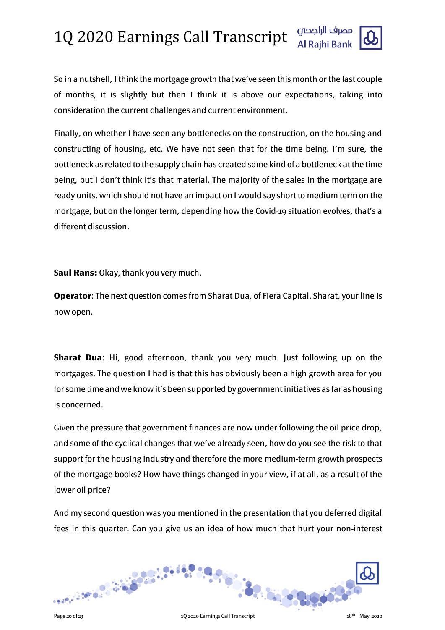

So in a nutshell, I think the mortgage growth that we've seen this month or the last couple of months, it is slightly but then I think it is above our expectations, taking into consideration the current challenges and current environment.

Finally, on whether I have seen any bottlenecks on the construction, on the housing and constructing of housing, etc. We have not seen that for the time being. I'm sure, the bottleneck as related to the supply chain has created some kind of a bottleneck at the time being, but I don't think it's that material. The majority of the sales in the mortgage are ready units, which should not have an impact on I would say short to medium term on the mortgage, but on the longer term, depending how the Covid-19 situation evolves, that's a different discussion.

**Saul Rans:** Okay, thank you very much.

**Operator**: The next question comes from Sharat Dua, of Fiera Capital. Sharat, your line is now open.

**Sharat Dua**: Hi, good afternoon, thank you very much. Just following up on the mortgages. The question I had is that this has obviously been a high growth area for you for some time and we know it's been supported by government initiatives as far as housing is concerned.

Given the pressure that government finances are now under following the oil price drop, and some of the cyclical changes that we've already seen, how do you see the risk to that support for the housing industry and therefore the more medium-term growth prospects of the mortgage books? How have things changed in your view, if at all, as a result of the lower oil price?

And my second question was you mentioned in the presentation that you deferred digital fees in this quarter. Can you give us an idea of how much that hurt your non-interest

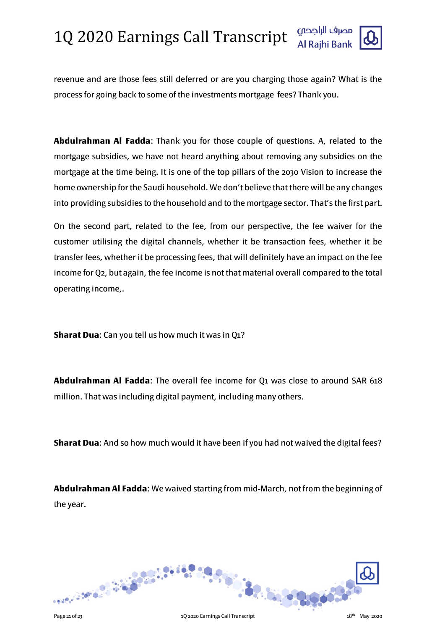

revenue and are those fees still deferred or are you charging those again? What is the process for going back to some of the investments mortgage fees? Thank you.

**Abdulrahman Al Fadda**: Thank you for those couple of questions. A, related to the mortgage subsidies, we have not heard anything about removing any subsidies on the mortgage at the time being. It is one of the top pillars of the 2030 Vision to increase the home ownership for the Saudi household. We don't believe that there will be any changes into providing subsidies to the household and to the mortgage sector. That's the first part.

On the second part, related to the fee, from our perspective, the fee waiver for the customer utilising the digital channels, whether it be transaction fees, whether it be transfer fees, whether it be processing fees, that will definitely have an impact on the fee income for Q2, but again, the fee income is not that material overall compared to the total operating income,.

**Sharat Dua**: Can you tell us how much it was in Q1?

**Abdulrahman Al Fadda**: The overall fee income for Q1 was close to around SAR 618 million. That was including digital payment, including many others.

**Sharat Dua**: And so how much would it have been if you had not waived the digital fees?

**Abdulrahman Al Fadda**: We waived starting from mid-March, not from the beginning of the year.

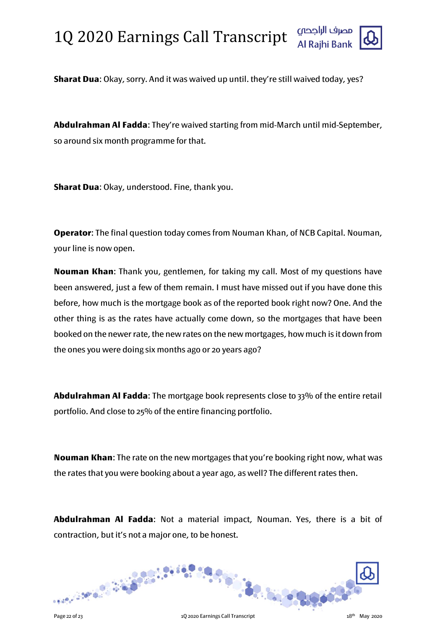

**Abdulrahman Al Fadda**: They're waived starting from mid-March until mid-September, so around six month programme for that.

**Sharat Dua**: Okay, understood. Fine, thank you.

**Operator**: The final question today comes from Nouman Khan, of NCB Capital. Nouman, your line is now open.

**Nouman Khan**: Thank you, gentlemen, for taking my call. Most of my questions have been answered, just a few of them remain. I must have missed out if you have done this before, how much is the mortgage book as of the reported book right now? One. And the other thing is as the rates have actually come down, so the mortgages that have been booked on the newer rate, the new rates on the new mortgages, how much is it down from the ones you were doing six months ago or 20 years ago?

**Abdulrahman Al Fadda**: The mortgage book represents close to 33% of the entire retail portfolio. And close to 25% of the entire financing portfolio.

**Nouman Khan**: The rate on the new mortgages that you're booking right now, what was the rates that you were booking about a year ago, as well? The different rates then.

**Abdulrahman Al Fadda**: Not a material impact, Nouman. Yes, there is a bit of contraction, but it's not a major one, to be honest.